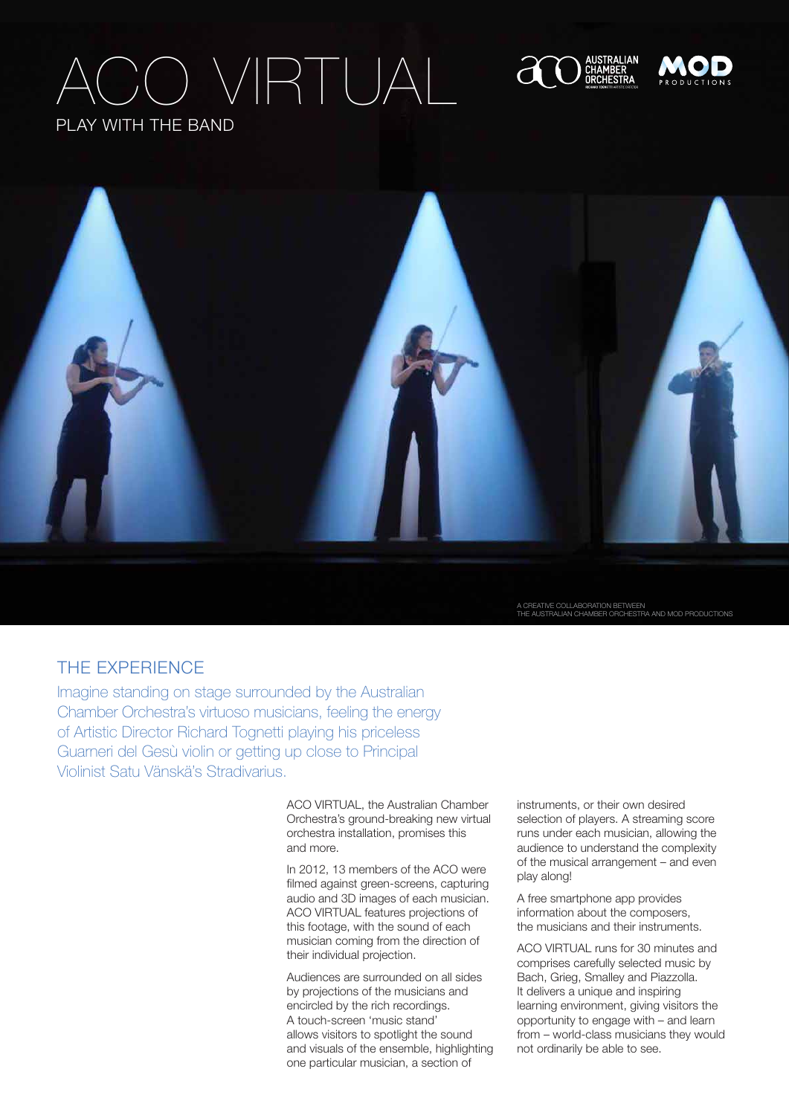# ) VIRTUA play with the band







A CREATIVE COLLABORATION BETWEEN<br>THE AUSTRALIAN CHAMBER ORCHESTRA AND MOD PF

### THE EXPERIENCE

Imagine standing on stage surrounded by the Australian Chamber Orchestra's virtuoso musicians, feeling the energy of Artistic Director Richard Tognetti playing his priceless Guarneri del Gesù violin or getting up close to Principal Violinist Satu Vänskä's Stradivarius.

> ACO VIRTUAL, the Australian Chamber Orchestra's ground-breaking new virtual orchestra installation, promises this and more.

> In 2012, 13 members of the ACO were filmed against green-screens, capturing audio and 3D images of each musician. ACO VIRTUAL features projections of this footage, with the sound of each musician coming from the direction of their individual projection.

Audiences are surrounded on all sides by projections of the musicians and encircled by the rich recordings. A touch-screen 'music stand' allows visitors to spotlight the sound and visuals of the ensemble, highlighting one particular musician, a section of

instruments, or their own desired selection of players. A streaming score runs under each musician, allowing the audience to understand the complexity of the musical arrangement – and even play along!

A free smartphone app provides information about the composers, the musicians and their instruments.

ACO VIRTUAL runs for 30 minutes and comprises carefully selected music by Bach, Grieg, Smalley and Piazzolla. It delivers a unique and inspiring learning environment, giving visitors the opportunity to engage with – and learn from – world-class musicians they would not ordinarily be able to see.